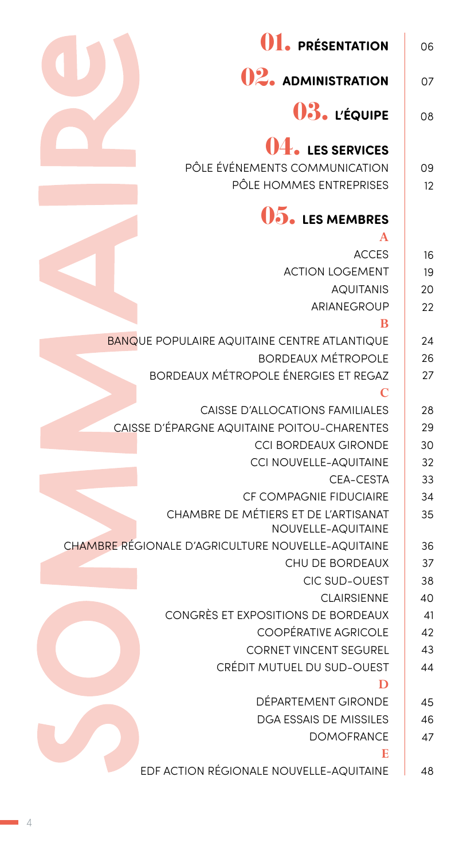| 01. PRÉSENTATION                                           | 06       |
|------------------------------------------------------------|----------|
| <b>02.</b> ADMINISTRATION                                  | 07       |
| 03. L'ÉQUIPE                                               | 08       |
| <b>11.</b> LES SERVICES<br>PÔLE ÉVÉNEMENTS COMMUNICATION   | 09       |
| PÔLE HOMMES ENTREPRISES                                    | 12       |
| <b>15. LES MEMBRES</b><br>$\mathbf{A}$                     |          |
|                                                            |          |
| <b>ACCES</b><br><b>ACTION LOGEMENT</b>                     | 16       |
| <b>AQUITANIS</b>                                           | 19<br>20 |
| ARIANEGROUP                                                | 22       |
| B                                                          |          |
| <b>BANQUE POPULAIRE AQUITAINE CENTRE ATLANTIQUE</b>        | 24       |
| <b>BORDEAUX MÉTROPOLE</b>                                  | 26       |
| <b>BORDEAUX MÉTROPOLE ÉNERGIES ET REGAZ</b>                | 27       |
| C                                                          |          |
| <b>CAISSE D'ALLOCATIONS FAMILIALES</b>                     | 28       |
| CAISSE D'ÉPARGNE AQUITAINE POITOU-CHARENTES                | 29       |
| <b>CCI BORDEAUX GIRONDE</b>                                | 30       |
| CCI NOUVELLE-AQUITAINE                                     | 32       |
| CEA-CESTA                                                  | 33       |
| CF COMPAGNIE FIDUCIAIRE                                    | 34       |
| CHAMBRE DE MÉTIERS ET DE L'ARTISANAT<br>NOUVELLE-AQUITAINE | 35       |
| CHAMBRE RÉGIONALE D'AGRICULTURE NOUVELLE-AQUITAINE         | 36       |
| CHU DE BORDEAUX                                            | 37       |
| <b>CIC SUD-OUEST</b>                                       | 38       |
| <b>CLAIRSIENNE</b>                                         | 40       |
| CONGRÈS ET EXPOSITIONS DE BORDEAUX                         | 41       |
| <b>COOPÉRATIVE AGRICOLE</b>                                | 42       |
| <b>CORNET VINCENT SEGUREL</b>                              | 43       |
| CRÉDIT MUTUEL DU SUD-OUEST                                 | 44       |
| D                                                          |          |
| DÉPARTEMENT GIRONDE                                        | 45       |
| <b>DGA ESSAIS DE MISSILES</b>                              | 46       |
| <b>DOMOFRANCE</b>                                          | 47       |
| E<br>EDF ACTION RÉGIONALE NOUVELLE-AQUITAINE               | 48       |